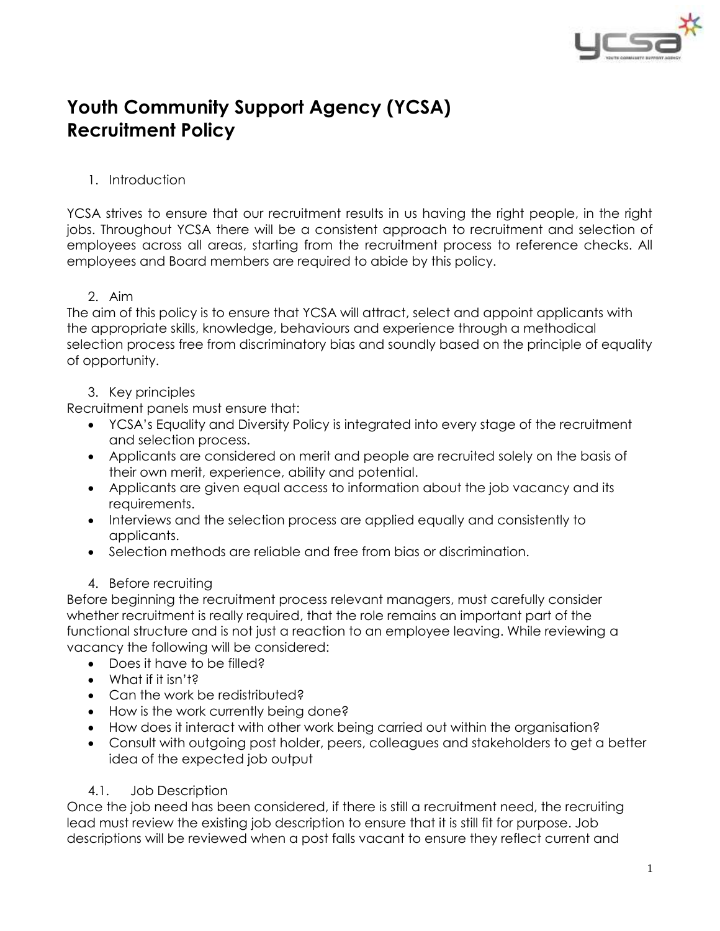

# **Youth Community Support Agency (YCSA) Recruitment Policy**

## 1. Introduction

YCSA strives to ensure that our recruitment results in us having the right people, in the right jobs. Throughout YCSA there will be a consistent approach to recruitment and selection of employees across all areas, starting from the recruitment process to reference checks. All employees and Board members are required to abide by this policy.

#### 2. Aim

The aim of this policy is to ensure that YCSA will attract, select and appoint applicants with the appropriate skills, knowledge, behaviours and experience through a methodical selection process free from discriminatory bias and soundly based on the principle of equality of opportunity.

#### 3. Key principles

Recruitment panels must ensure that:

- YCSA's Equality and Diversity Policy is integrated into every stage of the recruitment and selection process.
- Applicants are considered on merit and people are recruited solely on the basis of their own merit, experience, ability and potential.
- Applicants are given equal access to information about the job vacancy and its requirements.
- Interviews and the selection process are applied equally and consistently to applicants.
- Selection methods are reliable and free from bias or discrimination.

#### 4. Before recruiting

Before beginning the recruitment process relevant managers, must carefully consider whether recruitment is really required, that the role remains an important part of the functional structure and is not just a reaction to an employee leaving. While reviewing a vacancy the following will be considered:

- Does it have to be filled?
- What if it isn't?
- Can the work be redistributed?
- How is the work currently being done?
- How does it interact with other work being carried out within the organisation?
- Consult with outgoing post holder, peers, colleagues and stakeholders to get a better idea of the expected job output

#### 4.1. Job Description

Once the job need has been considered, if there is still a recruitment need, the recruiting lead must review the existing job description to ensure that it is still fit for purpose. Job descriptions will be reviewed when a post falls vacant to ensure they reflect current and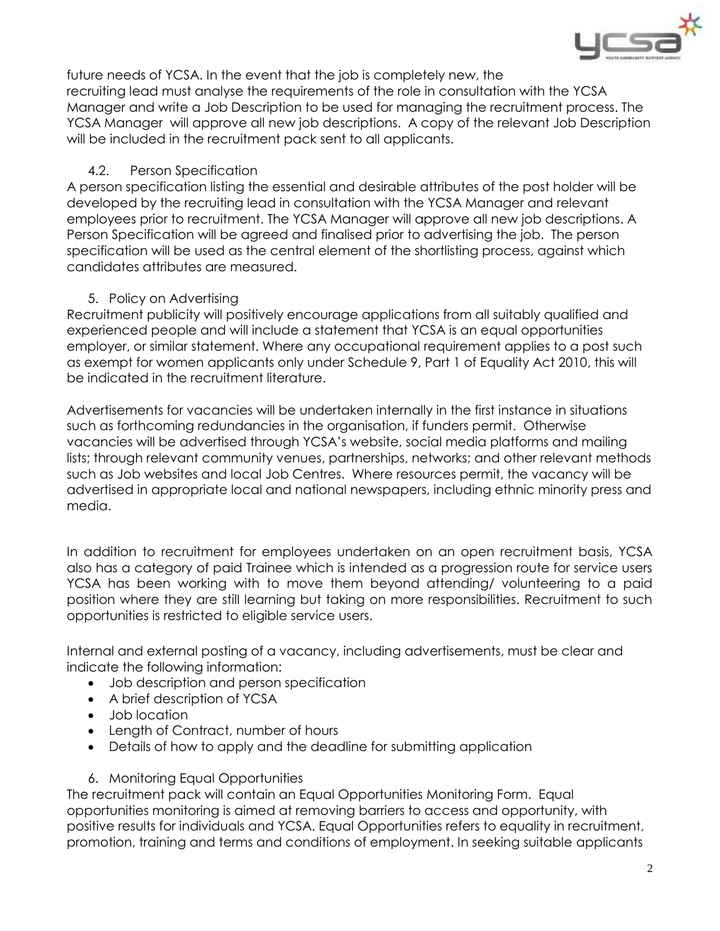

future needs of YCSA. In the event that the job is completely new, the recruiting lead must analyse the requirements of the role in consultation with the YCSA Manager and write a Job Description to be used for managing the recruitment process. The YCSA Manager will approve all new job descriptions. A copy of the relevant Job Description will be included in the recruitment pack sent to all applicants.

## 4.2. Person Specification

A person specification listing the essential and desirable attributes of the post holder will be developed by the recruiting lead in consultation with the YCSA Manager and relevant employees prior to recruitment. The YCSA Manager will approve all new job descriptions. A Person Specification will be agreed and finalised prior to advertising the job. The person specification will be used as the central element of the shortlisting process, against which candidates attributes are measured.

## 5. Policy on Advertising

Recruitment publicity will positively encourage applications from all suitably qualified and experienced people and will include a statement that YCSA is an equal opportunities employer, or similar statement. Where any occupational requirement applies to a post such as exempt for women applicants only under Schedule 9, Part 1 of Equality Act 2010, this will be indicated in the recruitment literature.

Advertisements for vacancies will be undertaken internally in the first instance in situations such as forthcoming redundancies in the organisation, if funders permit. Otherwise vacancies will be advertised through YCSA's website, social media platforms and mailing lists; through relevant community venues, partnerships, networks; and other relevant methods such as Job websites and local Job Centres. Where resources permit, the vacancy will be advertised in appropriate local and national newspapers, including ethnic minority press and media.

In addition to recruitment for employees undertaken on an open recruitment basis, YCSA also has a category of paid Trainee which is intended as a progression route for service users YCSA has been working with to move them beyond attending/ volunteering to a paid position where they are still learning but taking on more responsibilities. Recruitment to such opportunities is restricted to eligible service users.

Internal and external posting of a vacancy, including advertisements, must be clear and indicate the following information:

- Job description and person specification
- A brief description of YCSA
- Job location
- Length of Contract, number of hours
- Details of how to apply and the deadline for submitting application
- 6. Monitoring Equal Opportunities

The recruitment pack will contain an Equal Opportunities Monitoring Form. Equal opportunities monitoring is aimed at removing barriers to access and opportunity, with positive results for individuals and YCSA. Equal Opportunities refers to equality in recruitment, promotion, training and terms and conditions of employment. In seeking suitable applicants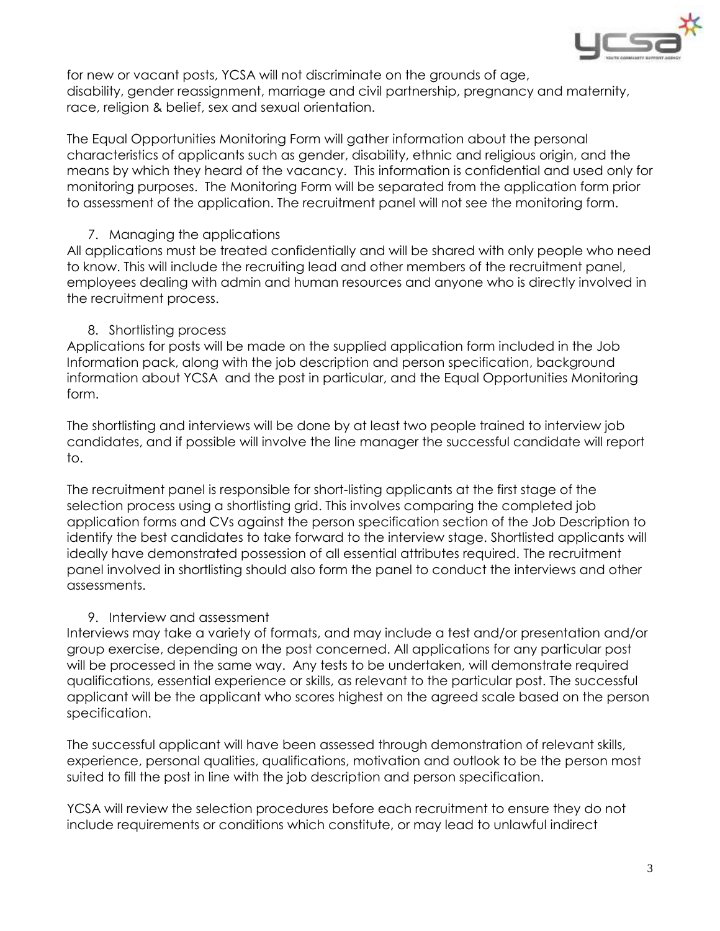

for new or vacant posts, YCSA will not discriminate on the grounds of age, disability, gender reassignment, marriage and civil partnership, pregnancy and maternity, race, religion & belief, sex and sexual orientation.

The Equal Opportunities Monitoring Form will gather information about the personal characteristics of applicants such as gender, disability, ethnic and religious origin, and the means by which they heard of the vacancy. This information is confidential and used only for monitoring purposes. The Monitoring Form will be separated from the application form prior to assessment of the application. The recruitment panel will not see the monitoring form.

#### 7. Managing the applications

All applications must be treated confidentially and will be shared with only people who need to know. This will include the recruiting lead and other members of the recruitment panel, employees dealing with admin and human resources and anyone who is directly involved in the recruitment process.

## 8. Shortlisting process

Applications for posts will be made on the supplied application form included in the Job Information pack, along with the job description and person specification, background information about YCSA and the post in particular, and the Equal Opportunities Monitoring form.

The shortlisting and interviews will be done by at least two people trained to interview job candidates, and if possible will involve the line manager the successful candidate will report to.

The recruitment panel is responsible for short-listing applicants at the first stage of the selection process using a shortlisting grid. This involves comparing the completed job application forms and CVs against the person specification section of the Job Description to identify the best candidates to take forward to the interview stage. Shortlisted applicants will ideally have demonstrated possession of all essential attributes required. The recruitment panel involved in shortlisting should also form the panel to conduct the interviews and other assessments.

## 9. Interview and assessment

Interviews may take a variety of formats, and may include a test and/or presentation and/or group exercise, depending on the post concerned. All applications for any particular post will be processed in the same way. Any tests to be undertaken, will demonstrate required qualifications, essential experience or skills, as relevant to the particular post. The successful applicant will be the applicant who scores highest on the agreed scale based on the person specification.

The successful applicant will have been assessed through demonstration of relevant skills, experience, personal qualities, qualifications, motivation and outlook to be the person most suited to fill the post in line with the job description and person specification.

YCSA will review the selection procedures before each recruitment to ensure they do not include requirements or conditions which constitute, or may lead to unlawful indirect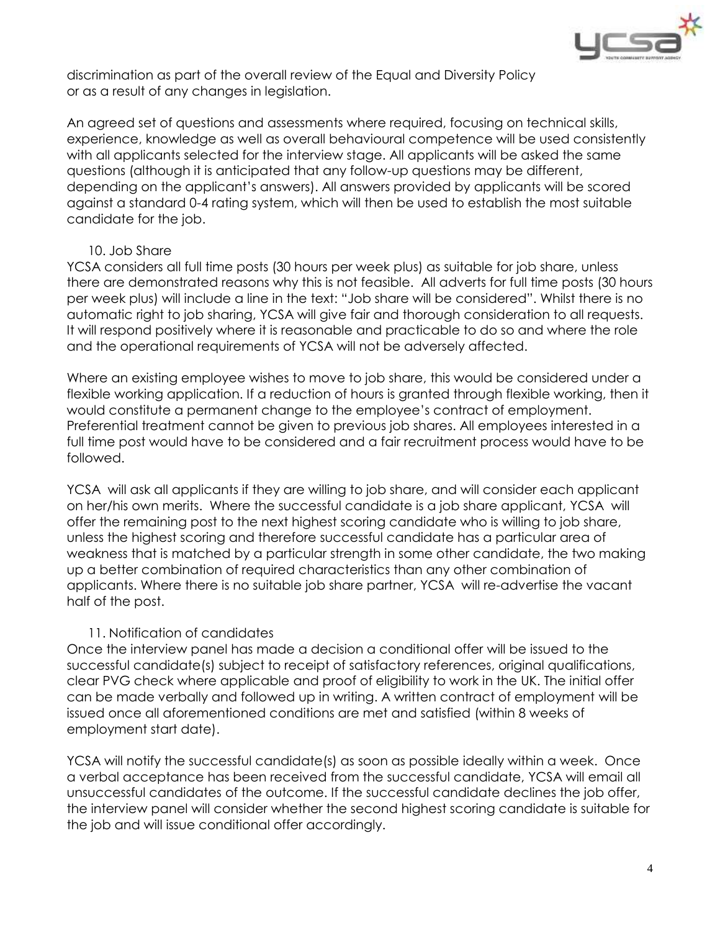

discrimination as part of the overall review of the Equal and Diversity Policy or as a result of any changes in legislation.

An agreed set of questions and assessments where required, focusing on technical skills, experience, knowledge as well as overall behavioural competence will be used consistently with all applicants selected for the interview stage. All applicants will be asked the same questions (although it is anticipated that any follow-up questions may be different, depending on the applicant's answers). All answers provided by applicants will be scored against a standard 0-4 rating system, which will then be used to establish the most suitable candidate for the job.

#### 10. Job Share

YCSA considers all full time posts (30 hours per week plus) as suitable for job share, unless there are demonstrated reasons why this is not feasible. All adverts for full time posts (30 hours per week plus) will include a line in the text: "Job share will be considered". Whilst there is no automatic right to job sharing, YCSA will give fair and thorough consideration to all requests. It will respond positively where it is reasonable and practicable to do so and where the role and the operational requirements of YCSA will not be adversely affected.

Where an existing employee wishes to move to job share, this would be considered under a flexible working application. If a reduction of hours is granted through flexible working, then it would constitute a permanent change to the employee's contract of employment. Preferential treatment cannot be given to previous job shares. All employees interested in a full time post would have to be considered and a fair recruitment process would have to be followed.

YCSA will ask all applicants if they are willing to job share, and will consider each applicant on her/his own merits. Where the successful candidate is a job share applicant, YCSA will offer the remaining post to the next highest scoring candidate who is willing to job share, unless the highest scoring and therefore successful candidate has a particular area of weakness that is matched by a particular strength in some other candidate, the two making up a better combination of required characteristics than any other combination of applicants. Where there is no suitable job share partner, YCSA will re-advertise the vacant half of the post.

#### 11. Notification of candidates

Once the interview panel has made a decision a conditional offer will be issued to the successful candidate(s) subject to receipt of satisfactory references, original qualifications, clear PVG check where applicable and proof of eligibility to work in the UK. The initial offer can be made verbally and followed up in writing. A written contract of employment will be issued once all aforementioned conditions are met and satisfied (within 8 weeks of employment start date).

YCSA will notify the successful candidate(s) as soon as possible ideally within a week. Once a verbal acceptance has been received from the successful candidate, YCSA will email all unsuccessful candidates of the outcome. If the successful candidate declines the job offer, the interview panel will consider whether the second highest scoring candidate is suitable for the job and will issue conditional offer accordingly.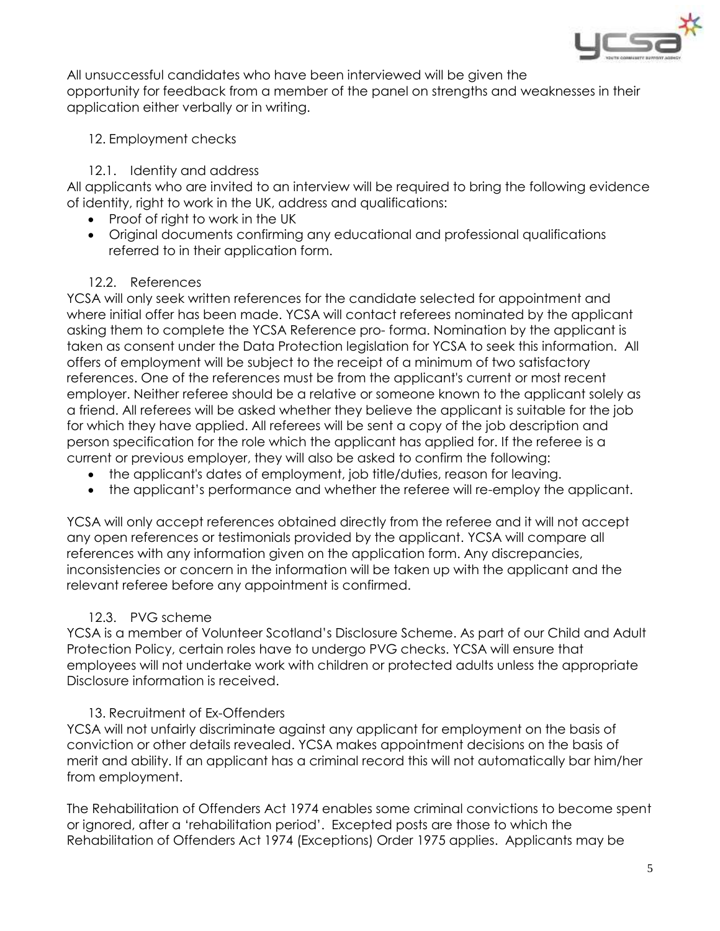

All unsuccessful candidates who have been interviewed will be given the opportunity for feedback from a member of the panel on strengths and weaknesses in their application either verbally or in writing.

## 12. Employment checks

## 12.1. Identity and address

All applicants who are invited to an interview will be required to bring the following evidence of identity, right to work in the UK, address and qualifications:

- Proof of right to work in the UK
- Original documents confirming any educational and professional qualifications referred to in their application form.

## 12.2. References

YCSA will only seek written references for the candidate selected for appointment and where initial offer has been made. YCSA will contact referees nominated by the applicant asking them to complete the YCSA Reference pro- forma. Nomination by the applicant is taken as consent under the Data Protection legislation for YCSA to seek this information. All offers of employment will be subject to the receipt of a minimum of two satisfactory references. One of the references must be from the applicant's current or most recent employer. Neither referee should be a relative or someone known to the applicant solely as a friend. All referees will be asked whether they believe the applicant is suitable for the job for which they have applied. All referees will be sent a copy of the job description and person specification for the role which the applicant has applied for. If the referee is a current or previous employer, they will also be asked to confirm the following:

- the applicant's dates of employment, job title/duties, reason for leaving.
- the applicant's performance and whether the referee will re-employ the applicant.

YCSA will only accept references obtained directly from the referee and it will not accept any open references or testimonials provided by the applicant. YCSA will compare all references with any information given on the application form. Any discrepancies, inconsistencies or concern in the information will be taken up with the applicant and the relevant referee before any appointment is confirmed.

## 12.3. PVG scheme

YCSA is a member of Volunteer Scotland's Disclosure Scheme. As part of our Child and Adult Protection Policy, certain roles have to undergo PVG checks. YCSA will ensure that employees will not undertake work with children or protected adults unless the appropriate Disclosure information is received.

## 13. Recruitment of Ex-Offenders

YCSA will not unfairly discriminate against any applicant for employment on the basis of conviction or other details revealed. YCSA makes appointment decisions on the basis of merit and ability. If an applicant has a criminal record this will not automatically bar him/her from employment.

The Rehabilitation of Offenders Act 1974 enables some criminal convictions to become spent or ignored, after a 'rehabilitation period'. Excepted posts are those to which the Rehabilitation of Offenders Act 1974 (Exceptions) Order 1975 applies. Applicants may be